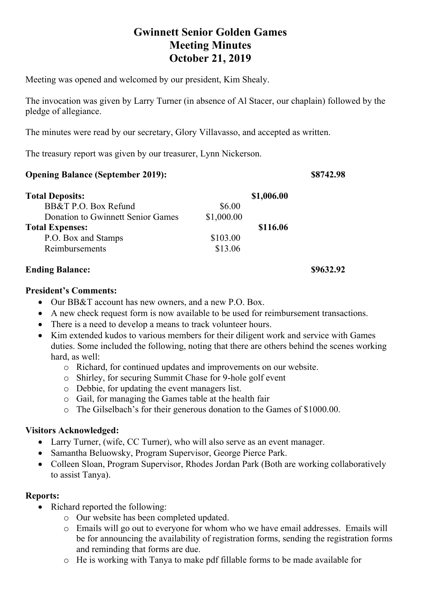# **Gwinnett Senior Golden Games Meeting Minutes October 21, 2019**

Meeting was opened and welcomed by our president, Kim Shealy.

The invocation was given by Larry Turner (in absence of Al Stacer, our chaplain) followed by the pledge of allegiance.

The minutes were read by our secretary, Glory Villavasso, and accepted as written.

The treasury report was given by our treasurer, Lynn Nickerson.

#### **Opening Balance (September 2019): \$8742.98**

| <b>Total Deposits:</b>            |            | \$1,006.00 |
|-----------------------------------|------------|------------|
| BB&T P.O. Box Refund              | \$6.00     |            |
| Donation to Gwinnett Senior Games | \$1,000.00 |            |
| <b>Total Expenses:</b>            |            | \$116.06   |
| P.O. Box and Stamps               | \$103.00   |            |
| Reimbursements                    | \$13.06    |            |

## **Ending Balance:** \$9632.92

#### **President's Comments:**

- Our BB&T account has new owners, and a new P.O. Box.
- A new check request form is now available to be used for reimbursement transactions.
- There is a need to develop a means to track volunteer hours.
- Kim extended kudos to various members for their diligent work and service with Games duties. Some included the following, noting that there are others behind the scenes working hard, as well:
	- o Richard, for continued updates and improvements on our website.
	- o Shirley, for securing Summit Chase for 9-hole golf event
	- o Debbie, for updating the event managers list.
	- o Gail, for managing the Games table at the health fair
	- o The Gilselbach's for their generous donation to the Games of \$1000.00.

## **Visitors Acknowledged:**

- Larry Turner, (wife, CC Turner), who will also serve as an event manager.
- Samantha Beluowsky, Program Supervisor, George Pierce Park.
- Colleen Sloan, Program Supervisor, Rhodes Jordan Park (Both are working collaboratively to assist Tanya).

## **Reports:**

- Richard reported the following:
	- o Our website has been completed updated.
	- o Emails will go out to everyone for whom who we have email addresses. Emails will be for announcing the availability of registration forms, sending the registration forms and reminding that forms are due.
	- o He is working with Tanya to make pdf fillable forms to be made available for